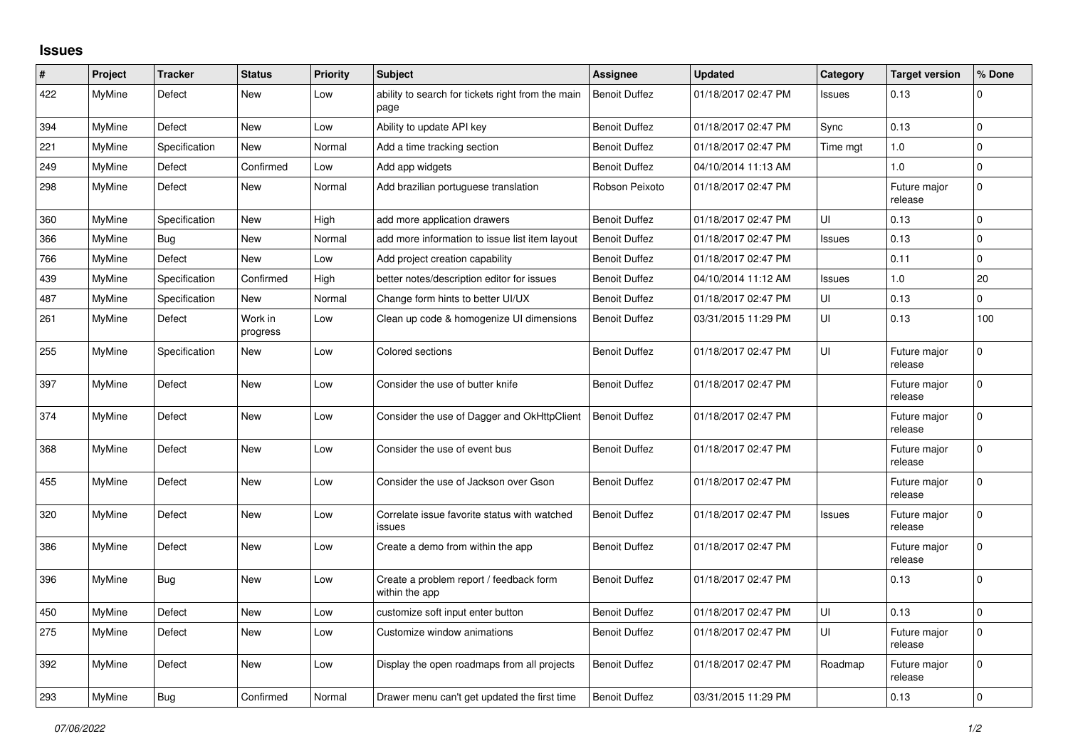## **Issues**

| $\#$ | Project       | <b>Tracker</b> | <b>Status</b>       | <b>Priority</b> | <b>Subject</b>                                            | Assignee             | <b>Updated</b>      | Category      | <b>Target version</b>   | % Done         |
|------|---------------|----------------|---------------------|-----------------|-----------------------------------------------------------|----------------------|---------------------|---------------|-------------------------|----------------|
| 422  | <b>MyMine</b> | Defect         | New                 | Low             | ability to search for tickets right from the main<br>page | <b>Benoit Duffez</b> | 01/18/2017 02:47 PM | Issues        | 0.13                    | $\Omega$       |
| 394  | MyMine        | Defect         | New                 | Low             | Ability to update API key                                 | <b>Benoit Duffez</b> | 01/18/2017 02:47 PM | Sync          | 0.13                    | $\Omega$       |
| 221  | MyMine        | Specification  | <b>New</b>          | Normal          | Add a time tracking section                               | <b>Benoit Duffez</b> | 01/18/2017 02:47 PM | Time mgt      | 1.0                     | $\Omega$       |
| 249  | <b>MyMine</b> | Defect         | Confirmed           | Low             | Add app widgets                                           | <b>Benoit Duffez</b> | 04/10/2014 11:13 AM |               | $1.0$                   | $\Omega$       |
| 298  | MyMine        | Defect         | New                 | Normal          | Add brazilian portuguese translation                      | Robson Peixoto       | 01/18/2017 02:47 PM |               | Future major<br>release | 0              |
| 360  | MvMine        | Specification  | <b>New</b>          | High            | add more application drawers                              | <b>Benoit Duffez</b> | 01/18/2017 02:47 PM | UI            | 0.13                    | $\Omega$       |
| 366  | MyMine        | Bug            | <b>New</b>          | Normal          | add more information to issue list item layout            | <b>Benoit Duffez</b> | 01/18/2017 02:47 PM | Issues        | 0.13                    | $\mathbf 0$    |
| 766  | MyMine        | Defect         | New                 | Low             | Add project creation capability                           | <b>Benoit Duffez</b> | 01/18/2017 02:47 PM |               | 0.11                    | $\mathbf 0$    |
| 439  | MyMine        | Specification  | Confirmed           | High            | better notes/description editor for issues                | <b>Benoit Duffez</b> | 04/10/2014 11:12 AM | <b>Issues</b> | 1.0                     | 20             |
| 487  | MyMine        | Specification  | <b>New</b>          | Normal          | Change form hints to better UI/UX                         | <b>Benoit Duffez</b> | 01/18/2017 02:47 PM | UI            | 0.13                    | $\overline{0}$ |
| 261  | MyMine        | Defect         | Work in<br>progress | Low             | Clean up code & homogenize UI dimensions                  | <b>Benoit Duffez</b> | 03/31/2015 11:29 PM | UI            | 0.13                    | 100            |
| 255  | MyMine        | Specification  | New                 | Low             | Colored sections                                          | <b>Benoit Duffez</b> | 01/18/2017 02:47 PM | UI            | Future major<br>release | $\Omega$       |
| 397  | MyMine        | Defect         | <b>New</b>          | Low             | Consider the use of butter knife                          | <b>Benoit Duffez</b> | 01/18/2017 02:47 PM |               | Future major<br>release | $\Omega$       |
| 374  | <b>MyMine</b> | Defect         | New                 | Low             | Consider the use of Dagger and OkHttpClient               | <b>Benoit Duffez</b> | 01/18/2017 02:47 PM |               | Future major<br>release | $\Omega$       |
| 368  | MyMine        | Defect         | New                 | Low             | Consider the use of event bus                             | <b>Benoit Duffez</b> | 01/18/2017 02:47 PM |               | Future major<br>release | $\Omega$       |
| 455  | MyMine        | Defect         | <b>New</b>          | Low             | Consider the use of Jackson over Gson                     | <b>Benoit Duffez</b> | 01/18/2017 02:47 PM |               | Future major<br>release | $\Omega$       |
| 320  | MyMine        | Defect         | New                 | Low             | Correlate issue favorite status with watched<br>issues    | <b>Benoit Duffez</b> | 01/18/2017 02:47 PM | Issues        | Future major<br>release | $\Omega$       |
| 386  | MyMine        | Defect         | New                 | Low             | Create a demo from within the app                         | <b>Benoit Duffez</b> | 01/18/2017 02:47 PM |               | Future major<br>release | 0              |
| 396  | MyMine        | <b>Bug</b>     | <b>New</b>          | Low             | Create a problem report / feedback form<br>within the app | <b>Benoit Duffez</b> | 01/18/2017 02:47 PM |               | 0.13                    | $\Omega$       |
| 450  | MyMine        | Defect         | <b>New</b>          | Low             | customize soft input enter button                         | <b>Benoit Duffez</b> | 01/18/2017 02:47 PM | UI            | 0.13                    | $\Omega$       |
| 275  | MyMine        | Defect         | New                 | Low             | Customize window animations                               | <b>Benoit Duffez</b> | 01/18/2017 02:47 PM | UI            | Future major<br>release | $\Omega$       |
| 392  | MyMine        | Defect         | New                 | Low             | Display the open roadmaps from all projects               | <b>Benoit Duffez</b> | 01/18/2017 02:47 PM | Roadmap       | Future major<br>release | $\Omega$       |
| 293  | MyMine        | Bug            | Confirmed           | Normal          | Drawer menu can't get updated the first time              | <b>Benoit Duffez</b> | 03/31/2015 11:29 PM |               | 0.13                    | $\overline{0}$ |